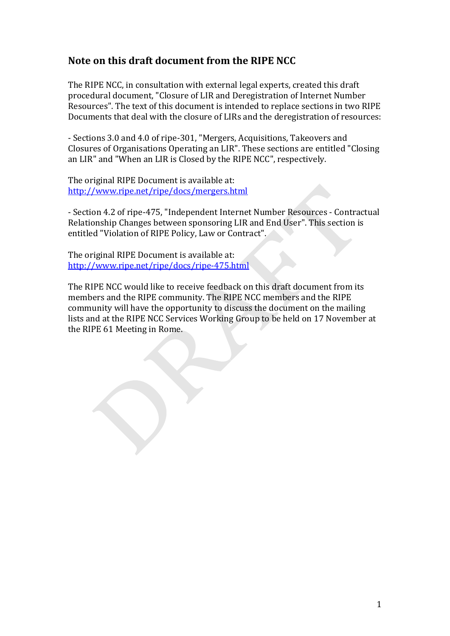# Note on this draft document from the RIPE NCC

The RIPE NCC, in consultation with external legal experts, created this draft procedural document, "Closure of LIR and Deregistration of Internet Number Resources". The text of this document is intended to replace sections in two RIPE Documents that deal with the closure of LIRs and the deregistration of resources:

- Sections 3.0 and 4.0 of ripe-301, "Mergers, Acquisitions, Takeovers and Closures of Organisations Operating an LIR". These sections are entitled "Closing an LIR" and "When an LIR is Closed by the RIPE NCC", respectively.

The original RIPE Document is available at: http://www.ripe.net/ripe/docs/mergers.html

- Section 4.2 of ripe-475, "Independent Internet Number Resources - Contractual Relationship Changes between sponsoring LIR and End User". This section is entitled "Violation of RIPE Policy, Law or Contract".

The original RIPE Document is available at: http://www.ripe.net/ripe/docs/ripe-475.html

The RIPE NCC would like to receive feedback on this draft document from its members and the RIPE community. The RIPE NCC members and the RIPE community will have the opportunity to discuss the document on the mailing lists and at the RIPE NCC Services Working Group to be held on 17 November at the RIPE 61 Meeting in Rome.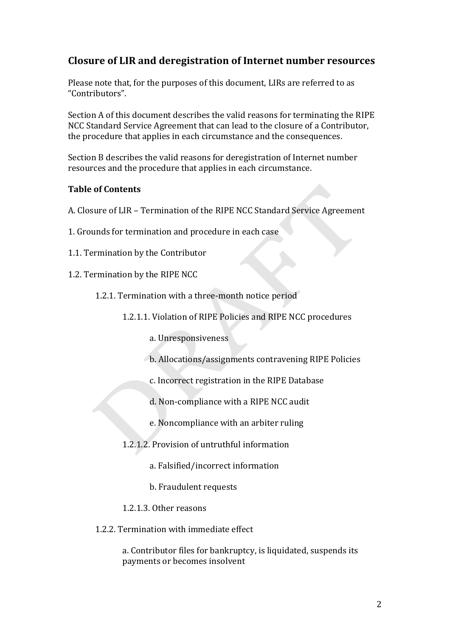# Closure of LIR and deregistration of Internet number resources

Please note that, for the purposes of this document, LIRs are referred to as "Contributors".

Section A of this document describes the valid reasons for terminating the RIPE NCC Standard Service Agreement that can lead to the closure of a Contributor, the procedure that applies in each circumstance and the consequences.

Section B describes the valid reasons for deregistration of Internet number resources and the procedure that applies in each circumstance.

### **Table of Contents**

A. Closure of LIR - Termination of the RIPE NCC Standard Service Agreement

- 1. Grounds for termination and procedure in each case
- 1.1. Termination by the Contributor
- 1.2. Termination by the RIPE NCC

1.2.1. Termination with a three-month notice period

1.2.1.1. Violation of RIPE Policies and RIPE NCC procedures

a. Unresponsiveness

- b. Allocations/assignments contravening RIPE Policies
- c. Incorrect registration in the RIPE Database
- d. Non-compliance with a RIPE NCC audit
- e. Noncompliance with an arbiter ruling
- 1.2.1.2. Provision of untruthful information
	- a. Falsified/incorrect information
	- b. Fraudulent requests
- 1.2.1.3. Other reasons
- 1.2.2. Termination with immediate effect

a. Contributor files for bankruptcy, is liquidated, suspends its payments or becomes insolvent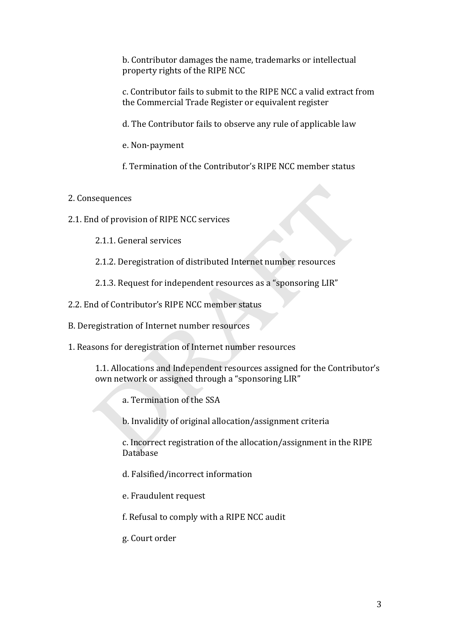b. Contributor damages the name, trademarks or intellectual property rights of the RIPE NCC

c. Contributor fails to submit to the RIPE NCC a valid extract from the Commercial Trade Register or equivalent register

d. The Contributor fails to observe any rule of applicable law

e. Non-payment

f. Termination of the Contributor's RIPE NCC member status

# 2. Consequences

- 2.1. End of provision of RIPE NCC services
	- 2.1.1. General services
	- 2.1.2. Deregistration of distributed Internet number resources
	- 2.1.3. Request for independent resources as a "sponsoring LIR"
- 2.2. End of Contributor's RIPE NCC member status
- B. Deregistration of Internet number resources
- 1. Reasons for deregistration of Internet number resources

1.1. Allocations and Independent resources assigned for the Contributor's own network or assigned through a "sponsoring LIR"

a. Termination of the SSA

b. Invalidity of original allocation/assignment criteria

c. Incorrect registration of the allocation/assignment in the RIPE **Database** 

- d. Falsified/incorrect information
- e. Fraudulent request
- f. Refusal to comply with a RIPE NCC audit
- g. Court order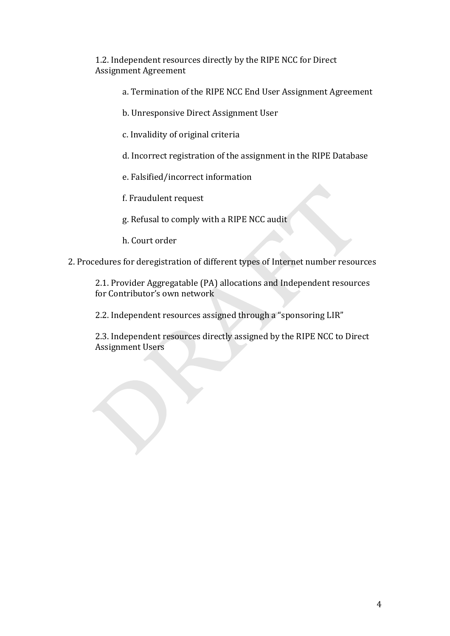1.2. Independent resources directly by the RIPE NCC for Direct Assignment Agreement

- a. Termination of the RIPE NCC End User Assignment Agreement
- b. Unresponsive Direct Assignment User
- c. Invalidity of original criteria
- d. Incorrect registration of the assignment in the RIPE Database
- e. Falsified/incorrect information
- f. Fraudulent request
- g. Refusal to comply with a RIPE NCC audit
- h. Court order
- 2. Procedures for deregistration of different types of Internet number resources

2.1. Provider Aggregatable (PA) allocations and Independent resources for Contributor's own network

2.2. Independent resources assigned through a "sponsoring LIR"

2.3. Independent resources directly assigned by the RIPE NCC to Direct Assignment Users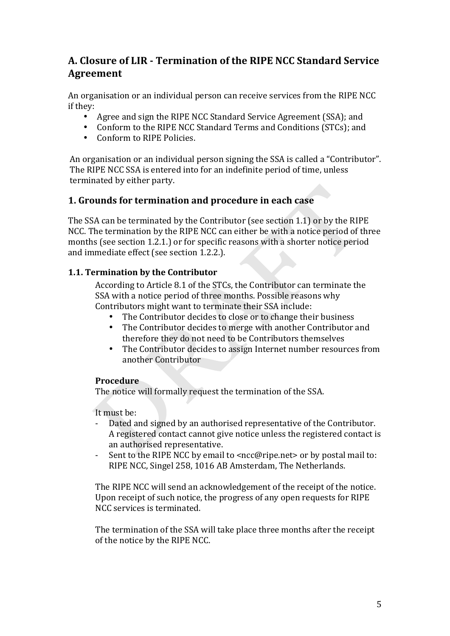# A. Closure of LIR - Termination of the RIPE NCC Standard Service **Agreement**

An organisation or an individual person can receive services from the RIPE NCC if they:

- Agree and sign the RIPE NCC Standard Service Agreement (SSA): and
- Conform to the RIPE NCC Standard Terms and Conditions (STCs); and
- Conform to RIPE Policies.

An organisation or an individual person signing the SSA is called a "Contributor". The RIPE NCC SSA is entered into for an indefinite period of time, unless terminated by either party.

# 1. Grounds for termination and procedure in each case

The SSA can be terminated by the Contributor (see section 1.1) or by the RIPE NCC. The termination by the RIPE NCC can either be with a notice period of three months (see section 1.2.1.) or for specific reasons with a shorter notice period and immediate effect (see section 1.2.2.).

# 1.1. Termination by the Contributor

According to Article 8.1 of the STCs, the Contributor can terminate the SSA with a notice period of three months. Possible reasons why Contributors might want to terminate their SSA include:

- The Contributor decides to close or to change their business
- The Contributor decides to merge with another Contributor and therefore they do not need to be Contributors themselves
- $\bullet$ The Contributor decides to assign Internet number resources from another Contributor

# Procedure

The notice will formally request the termination of the SSA.

It must be:

- Dated and signed by an authorised representative of the Contributor. A registered contact cannot give notice unless the registered contact is an authorised representative.
- Sent to the RIPE NCC by email to <ncc@ripe.net> or by postal mail to: RIPE NCC, Singel 258, 1016 AB Amsterdam, The Netherlands.

The RIPE NCC will send an acknowledgement of the receipt of the notice. Upon receipt of such notice, the progress of any open requests for RIPE NCC services is terminated.

The termination of the SSA will take place three months after the receipt of the notice by the RIPE NCC.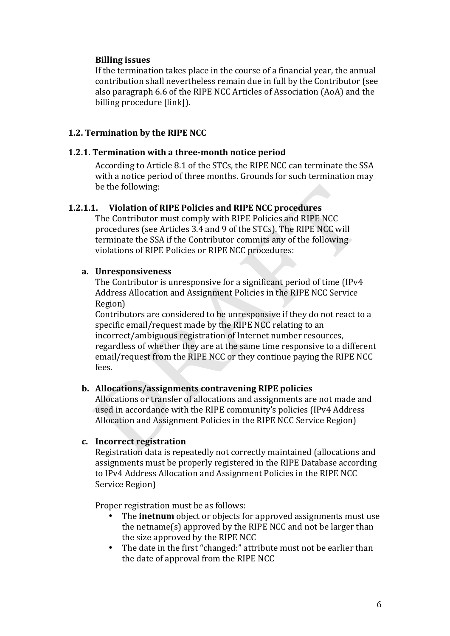# **Billing issues**

If the termination takes place in the course of a financial year, the annual contribution shall nevertheless remain due in full by the Contributor (see also paragraph 6.6 of the RIPE NCC Articles of Association (AoA) and the billing procedure [link]).

### **1.2. Termination by the RIPE NCC**

#### **1.2.1. Termination with a three-month notice period**

According to Article 8.1 of the STCs, the RIPE NCC can terminate the SSA with a notice period of three months. Grounds for such termination may be the following:

### **1.2.1.1.** Violation of RIPE Policies and RIPE NCC procedures

The Contributor must comply with RIPE Policies and RIPE NCC procedures (see Articles 3.4 and 9 of the STCs). The RIPE NCC will terminate the SSA if the Contributor commits any of the following violations of RIPE Policies or RIPE NCC procedures:

#### **a. Unresponsiveness**

The Contributor is unresponsive for a significant period of time (IPv4 Address Allocation and Assignment Policies in the RIPE NCC Service Region)

Contributors are considered to be unresponsive if they do not react to a specific email/request made by the RIPE NCC relating to an incorrect/ambiguous registration of Internet number resources, regardless of whether they are at the same time responsive to a different email/request from the RIPE NCC or they continue paying the RIPE NCC fees.!

### **b.** Allocations/assignments contravening RIPE policies

Allocations or transfer of allocations and assignments are not made and used in accordance with the RIPE community's policies (IPv4 Address Allocation and Assignment Policies in the RIPE NCC Service Region).

### **c.** Incorrect registration

Registration data is repeatedly not correctly maintained (allocations and assignments must be properly registered in the RIPE Database according to IPv4 Address Allocation and Assignment Policies in the RIPE NCC Service Region)

Proper registration must be as follows:

- The **inetnum** object or objects for approved assignments must use the netname(s) approved by the RIPE NCC and not be larger than the size approved by the RIPE NCC
- The date in the first "changed:" attribute must not be earlier than the date of approval from the RIPE NCC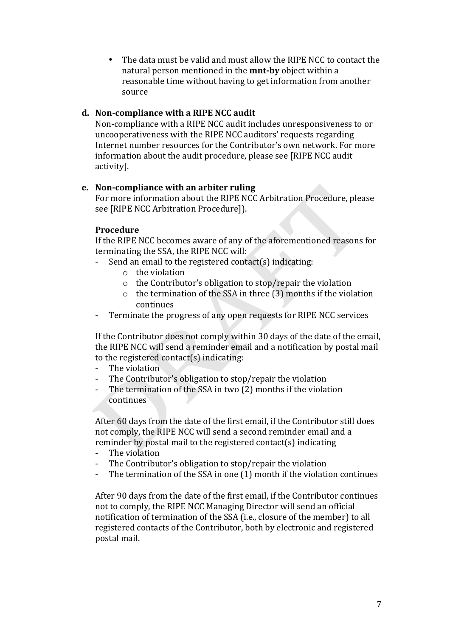• The data must be valid and must allow the RIPE NCC to contact the natural person mentioned in the **mnt-by** object within a reasonable time without having to get information from another source

### d. Non-compliance with a RIPE NCC audit

Non-compliance with a RIPE NCC audit includes unresponsiveness to or uncooperativeness with the RIPE NCC auditors' requests regarding Internet number resources for the Contributor's own network. For more information about the audit procedure, please see [RIPE NCC audit] activity].

# e. Non-compliance with an arbiter ruling

For more information about the RIPE NCC Arbitration Procedure, please see [RIPE NCC Arbitration Procedure]).

### Procedure

If the RIPE NCC becomes aware of any of the aforementioned reasons for terminating the SSA, the RIPE NCC will:

- Send an email to the registered contact(s) indicating:
	- $\circ$  the violation
	- $\circ$  the Contributor's obligation to stop/repair the violation
	- $\circ$  the termination of the SSA in three (3) months if the violation continues
- Terminate the progress of any open requests for RIPE NCC services

If the Contributor does not comply within 30 days of the date of the email. the RIPE NCC will send a reminder email and a notification by postal mail to the registered contact(s) indicating:

- The violation
- The Contributor's obligation to stop/repair the violation  $\mathbf{r}$
- The termination of the SSA in two (2) months if the violation continues

After 60 days from the date of the first email, if the Contributor still does not comply, the RIPE NCC will send a second reminder email and a reminder by postal mail to the registered contact(s) indicating

- The violation
- The Contributor's obligation to stop/repair the violation  $\sim$
- The termination of the SSA in one (1) month if the violation continues

After 90 days from the date of the first email, if the Contributor continues not to comply, the RIPE NCC Managing Director will send an official notification of termination of the SSA (i.e., closure of the member) to all registered contacts of the Contributor, both by electronic and registered postal mail.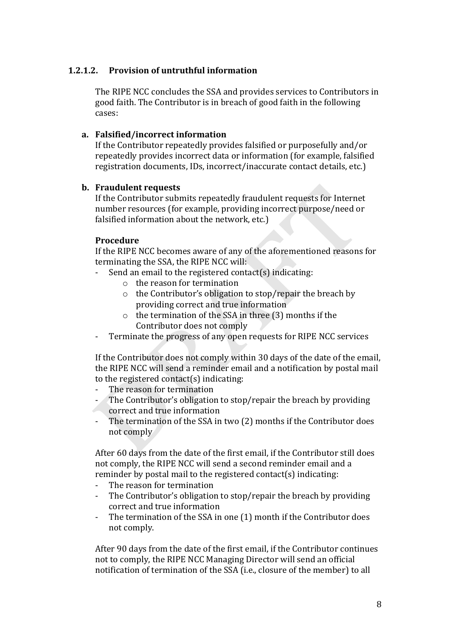# **1.2.1.2.** Provision of untruthful information

The RIPE NCC concludes the SSA and provides services to Contributors in good faith. The Contributor is in breach of good faith in the following cases:

#### **a.** Falsified/incorrect information

If the Contributor repeatedly provides falsified or purposefully and/or repeatedly provides incorrect data or information (for example, falsified registration documents, IDs, incorrect/inaccurate contact details, etc.)

#### **b.** Fraudulent requests

If the Contributor submits repeatedly fraudulent requests for Internet number resources (for example, providing incorrect purpose/need or falsified information about the network, etc.)

#### **Procedure**

If the RIPE NCC becomes aware of any of the aforementioned reasons for terminating the SSA, the RIPE NCC will:

- Send an email to the registered contact(s) indicating:
	- $\circ$  the reason for termination
	- $\circ$  the Contributor's obligation to stop/repair the breach by providing correct and true information
	- $\circ$  the termination of the SSA in three (3) months if the Contributor does not comply
- Terminate the progress of any open requests for RIPE NCC services

If the Contributor does not comply within 30 days of the date of the email, the RIPE NCC will send a reminder email and a notification by postal mail to the registered contact(s) indicating:

- The reason for termination
- $\sim$  The Contributor's obligation to stop/repair the breach by providing correct and true information
- The termination of the SSA in two (2) months if the Contributor does not comply

After 60 days from the date of the first email, if the Contributor still does not comply, the RIPE NCC will send a second reminder email and a reminder by postal mail to the registered contact(s) indicating:

- The reason for termination
- The Contributor's obligation to stop/repair the breach by providing correct and true information
- The termination of the SSA in one (1) month if the Contributor does not comply.

After 90 days from the date of the first email, if the Contributor continues not to comply, the RIPE NCC Managing Director will send an official notification of termination of the SSA (i.e., closure of the member) to all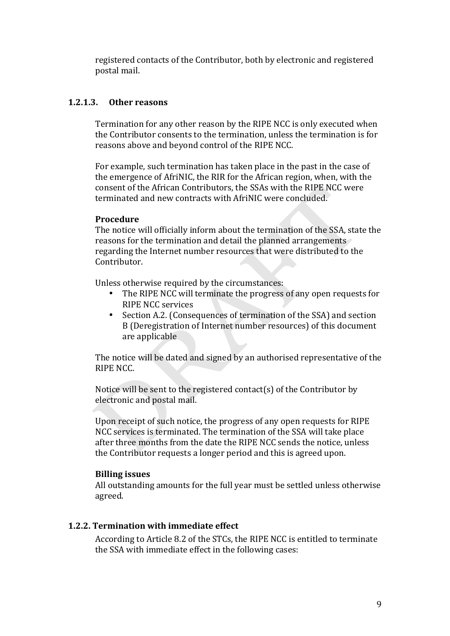registered contacts of the Contributor, both by electronic and registered postal mail.

### **1.2.1.3. Other%reasons**

Termination for any other reason by the RIPE NCC is only executed when the Contributor consents to the termination, unless the termination is for reasons above and beyond control of the RIPE NCC.

For example, such termination has taken place in the past in the case of the emergence of AfriNIC, the RIR for the African region, when, with the consent of the African Contributors, the SSAs with the RIPE NCC were terminated and new contracts with AfriNIC were concluded.

### **Procedure**

The notice will officially inform about the termination of the SSA, state the reasons for the termination and detail the planned arrangements regarding the Internet number resources that were distributed to the Contributor.

Unless otherwise required by the circumstances:

- The RIPE NCC will terminate the progress of any open requests for RIPE NCC services
- Section A.2. (Consequences of termination of the SSA) and section B (Deregistration of Internet number resources) of this document are applicable

The notice will be dated and signed by an authorised representative of the RIPE NCC.

Notice will be sent to the registered contact(s) of the Contributor by electronic and postal mail.

Upon receipt of such notice, the progress of any open requests for RIPE NCC services is terminated. The termination of the SSA will take place after three months from the date the RIPE NCC sends the notice, unless the Contributor requests a longer period and this is agreed upon.

### **Billing issues**

All outstanding amounts for the full year must be settled unless otherwise agreed.

# **1.2.2. Termination with immediate effect**

According to Article 8.2 of the STCs, the RIPE NCC is entitled to terminate the SSA with immediate effect in the following cases: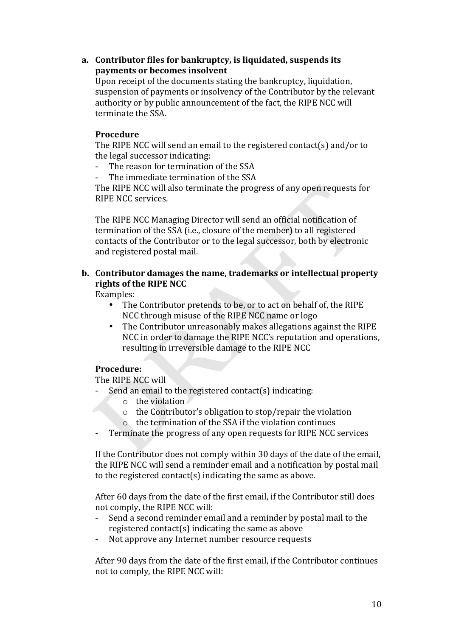### a. Contributor files for bankruptcy, is liquidated, suspends its payments or becomes insolvent

Upon receipt of the documents stating the bankruptcy, liquidation, suspension of payments or insolvency of the Contributor by the relevant authority or by public announcement of the fact, the RIPE NCC will terminate the SSA.

### **Procedure**

The RIPE NCC will send an email to the registered contact(s) and/or to the legal successor indicating:

- The reason for termination of the SSA
- The immediate termination of the SSA

The RIPE NCC will also terminate the progress of any open requests for RIPE NCC services.

The RIPE NCC Managing Director will send an official notification of termination of the SSA (i.e., closure of the member) to all registered contacts of the Contributor or to the legal successor, both by electronic and registered postal mail.

### **b.** Contributor damages the name, trademarks or intellectual property **rights of the RIPE NCC**

Examples:

- The Contributor pretends to be, or to act on behalf of, the RIPE NCC through misuse of the RIPE NCC name or logo
- The Contributor unreasonably makes allegations against the RIPE NCC in order to damage the RIPE NCC's reputation and operations, resulting in irreversible damage to the RIPE NCC

### **Procedure:**

The RIPE NCC will

- Send an email to the registered contact(s) indicating:
	- $\circ$  the violation
	- $\circ$  the Contributor's obligation to stop/repair the violation
	- $\circ$  the termination of the SSA if the violation continues
- Terminate the progress of any open requests for RIPE NCC services

If the Contributor does not comply within 30 days of the date of the email, the RIPE NCC will send a reminder email and a notification by postal mail to the registered contact(s) indicating the same as above.

After 60 days from the date of the first email, if the Contributor still does not comply, the RIPE NCC will:

- Send a second reminder email and a reminder by postal mail to the registered contact(s) indicating the same as above
- Not approve any Internet number resource requests

After 90 days from the date of the first email, if the Contributor continues not to comply, the RIPE NCC will: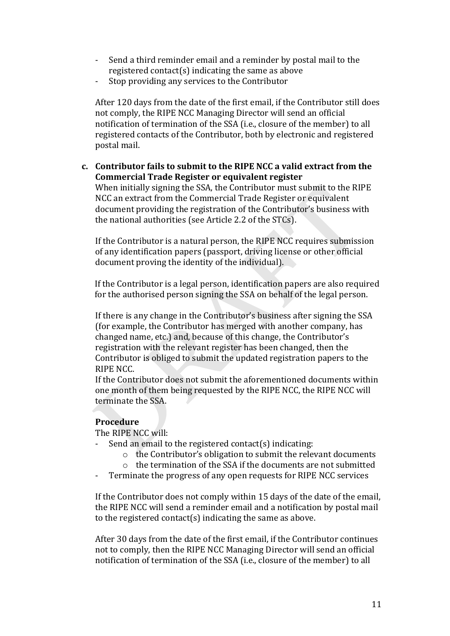- Send a third reminder email and a reminder by postal mail to the registered contact(s) indicating the same as above
- Stop providing any services to the Contributor

After 120 days from the date of the first email, if the Contributor still does not comply, the RIPE NCC Managing Director will send an official notification of termination of the SSA (i.e., closure of the member) to all registered contacts of the Contributor, both by electronic and registered postal mail.

**c. Contributor fails to submit to the RIPE NCC a valid extract from the Commercial Trade Register or equivalent register** 

When initially signing the SSA, the Contributor must submit to the RIPE NCC an extract from the Commercial Trade Register or equivalent document providing the registration of the Contributor's business with the national authorities (see Article 2.2 of the STCs).

If the Contributor is a natural person, the RIPE NCC requires submission of any identification papers (passport, driving license or other official document proving the identity of the individual).

If the Contributor is a legal person, identification papers are also required for the authorised person signing the SSA on behalf of the legal person.

If there is any change in the Contributor's business after signing the SSA (for example, the Contributor has merged with another company, has changed name, etc.) and, because of this change, the Contributor's registration with the relevant register has been changed, then the Contributor is obliged to submit the updated registration papers to the RIPE NCC.

If the Contributor does not submit the aforementioned documents within one month of them being requested by the RIPE NCC, the RIPE NCC will terminate the SSA.

### **Procedure**

The RIPE NCC will:

- Send an email to the registered contact(s) indicating:
	- $\circ$  the Contributor's obligation to submit the relevant documents
	- $\circ$  the termination of the SSA if the documents are not submitted
- Terminate the progress of any open requests for RIPE NCC services

If the Contributor does not comply within 15 days of the date of the email, the RIPE NCC will send a reminder email and a notification by postal mail to the registered contact(s) indicating the same as above.

After 30 days from the date of the first email, if the Contributor continues not to comply, then the RIPE NCC Managing Director will send an official notification of termination of the SSA (i.e., closure of the member) to all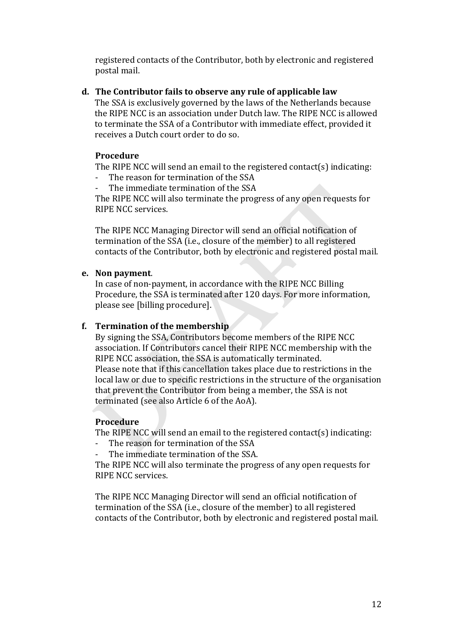registered contacts of the Contributor, both by electronic and registered postal mail.

# d. The Contributor fails to observe any rule of applicable law

The SSA is exclusively governed by the laws of the Netherlands because the RIPE NCC is an association under Dutch law. The RIPE NCC is allowed to terminate the SSA of a Contributor with immediate effect, provided it receives a Dutch court order to do so.

# **Procedure**

The RIPE NCC will send an email to the registered contact(s) indicating:

- The reason for termination of the SSA
- The immediate termination of the SSA

The RIPE NCC will also terminate the progress of any open requests for RIPE NCC services.

The RIPE NCC Managing Director will send an official notification of termination of the SSA (i.e., closure of the member) to all registered contacts of the Contributor, both by electronic and registered postal mail.

# **e.** Non payment.

In case of non-payment, in accordance with the RIPE NCC Billing Procedure, the SSA is terminated after 120 days. For more information, please see [billing procedure].

# **f. Termination of the membership**

By signing the SSA, Contributors become members of the RIPE NCC association. If Contributors cancel their RIPE NCC membership with the RIPE NCC association, the SSA is automatically terminated. Please note that if this cancellation takes place due to restrictions in the local law or due to specific restrictions in the structure of the organisation that prevent the Contributor from being a member, the SSA is not terminated (see also Article 6 of the AoA).

# **Procedure**

The RIPE NCC will send an email to the registered contact(s) indicating:

- The reason for termination of the SSA
- The immediate termination of the SSA.

The RIPE NCC will also terminate the progress of any open requests for RIPE NCC services.

The RIPE NCC Managing Director will send an official notification of termination of the SSA (i.e., closure of the member) to all registered contacts of the Contributor, both by electronic and registered postal mail.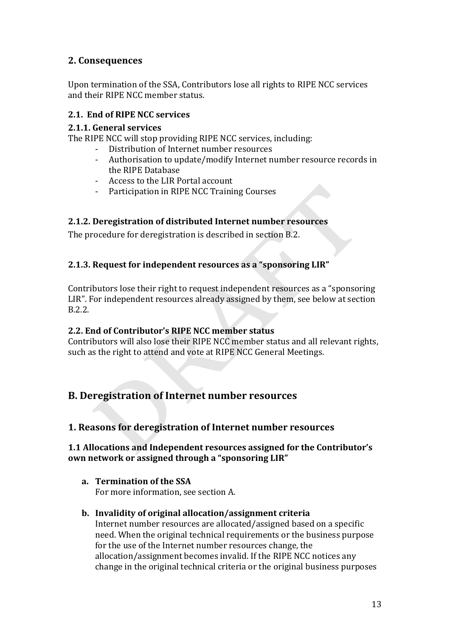# **2.%Consequences**

Upon termination of the SSA, Contributors lose all rights to RIPE NCC services and their RIPE NCC member status.

# **2.1.%%End%of%RIPE%NCC%services**

### **2.1.1. General services**

The RIPE NCC will stop providing RIPE NCC services, including:

- Distribution of Internet number resources
- Authorisation to update/modify Internet number resource records in the RIPE Database
- Access to the LIR Portal account
- Participation in RIPE NCC Training Courses

# **2.1.2.** Deregistration of distributed Internet number resources

The procedure for deregistration is described in section B.2.

# **2.1.3. Request for independent resources as a "sponsoring LIR"**

Contributors lose their right to request independent resources as a "sponsoring" LIR". For independent resources already assigned by them, see below at section B.2.2.

### **2.2. End of Contributor's RIPE NCC member status**

Contributors will also lose their RIPE NCC member status and all relevant rights, such as the right to attend and vote at RIPE NCC General Meetings.

# **B. Deregistration of Internet number resources**

# 1. Reasons for deregistration of Internet number resources

# **1.1 Allocations and Independent resources assigned for the Contributor's own network or assigned through a "sponsoring LIR"**

#### **a. Termination of the SSA** For more information, see section A.

### **b.** Invalidity of original allocation/assignment criteria

Internet number resources are allocated/assigned based on a specific need. When the original technical requirements or the business purpose for the use of the Internet number resources change, the allocation/assignment becomes invalid. If the RIPE NCC notices any change in the original technical criteria or the original business purposes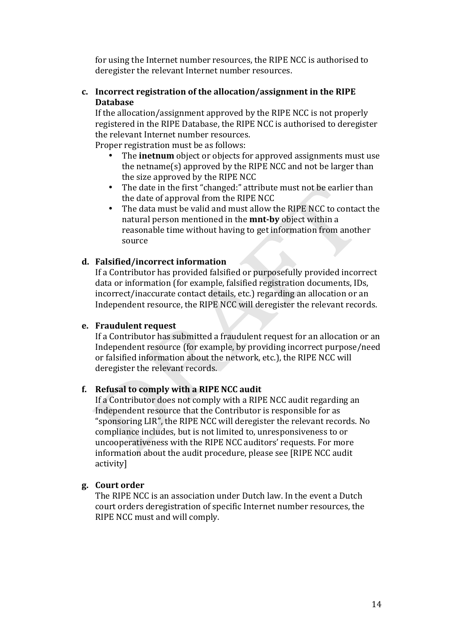for using the Internet number resources, the RIPE NCC is authorised to deregister the relevant Internet number resources.

### c. Incorrect registration of the allocation/assignment in the RIPE **Database**

If the allocation/assignment approved by the RIPE NCC is not properly registered in the RIPE Database, the RIPE NCC is authorised to deregister the relevant Internet number resources.

Proper registration must be as follows:

- The **inetnum** object or objects for approved assignments must use the netname(s) approved by the RIPE NCC and not be larger than the size approved by the RIPE NCC
- The date in the first "changed:" attribute must not be earlier than the date of approval from the RIPE NCC
- The data must be valid and must allow the RIPE NCC to contact the natural person mentioned in the **mnt-by** object within a reasonable time without having to get information from another source

# d. Falsified/incorrect information

If a Contributor has provided falsified or purposefully provided incorrect data or information (for example, falsified registration documents, IDs, incorrect/inaccurate contact details, etc.) regarding an allocation or an Independent resource, the RIPE NCC will deregister the relevant records.

### e. Fraudulent request

If a Contributor has submitted a fraudulent request for an allocation or an Independent resource (for example, by providing incorrect purpose/need or falsified information about the network, etc.), the RIPE NCC will deregister the relevant records.

### f. Refusal to comply with a RIPE NCC audit

If a Contributor does not comply with a RIPE NCC audit regarding an Independent resource that the Contributor is responsible for as "sponsoring LIR", the RIPE NCC will deregister the relevant records. No compliance includes, but is not limited to, unresponsiveness to or uncooperativeness with the RIPE NCC auditors' requests. For more information about the audit procedure, please see [RIPE NCC audit activityl

### g. Court order

The RIPE NCC is an association under Dutch law. In the event a Dutch court orders deregistration of specific Internet number resources, the RIPE NCC must and will comply.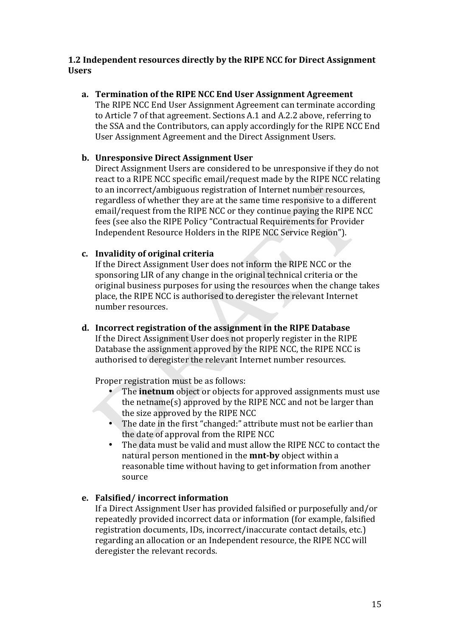# 1.2 Independent resources directly by the RIPE NCC for Direct Assignment **I**Isers

a. Termination of the RIPE NCC End User Assignment Agreement The RIPE NCC End User Assignment Agreement can terminate according to Article 7 of that agreement. Sections A.1 and A.2.2 above, referring to the SSA and the Contributors, can apply accordingly for the RIPE NCC End User Assignment Agreement and the Direct Assignment Users.

# b. Unresponsive Direct Assignment User

Direct Assignment Users are considered to be unresponsive if they do not react to a RIPE NCC specific email/request made by the RIPE NCC relating to an incorrect/ambiguous registration of Internet number resources, regardless of whether they are at the same time responsive to a different email/request from the RIPE NCC or they continue paying the RIPE NCC fees (see also the RIPE Policy "Contractual Requirements for Provider Independent Resource Holders in the RIPE NCC Service Region").

# c. Invalidity of original criteria

If the Direct Assignment User does not inform the RIPE NCC or the sponsoring LIR of any change in the original technical criteria or the original business purposes for using the resources when the change takes place, the RIPE NCC is authorised to deregister the relevant Internet number resources.

d. Incorrect registration of the assignment in the RIPE Database If the Direct Assignment User does not properly register in the RIPE Database the assignment approved by the RIPE NCC, the RIPE NCC is authorised to deregister the relevant Internet number resources.

Proper registration must be as follows:

- The **inetnum** object or objects for approved assignments must use the netname(s) approved by the RIPE NCC and not be larger than the size approved by the RIPE NCC
- The date in the first "changed:" attribute must not be earlier than the date of approval from the RIPE NCC
- The data must be valid and must allow the RIPE NCC to contact the natural person mentioned in the **mnt-by** object within a reasonable time without having to get information from another source

# e. Falsified/incorrect information

If a Direct Assignment User has provided falsified or purposefully and/or repeatedly provided incorrect data or information (for example, falsified registration documents, IDs, incorrect/inaccurate contact details, etc.) regarding an allocation or an Independent resource, the RIPE NCC will deregister the relevant records.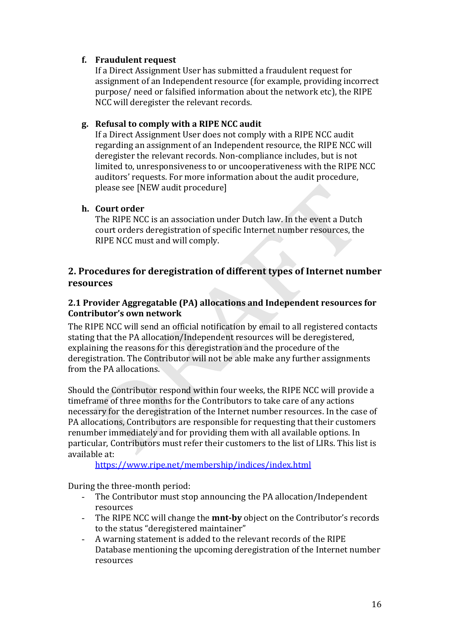# f. Fraudulent request

If a Direct Assignment User has submitted a fraudulent request for assignment of an Independent resource (for example, providing incorrect purpose/ need or falsified information about the network etc), the RIPE NCC will deregister the relevant records.

# g. Refusal to comply with a RIPE NCC audit

If a Direct Assignment User does not comply with a RIPE NCC audit regarding an assignment of an Independent resource, the RIPE NCC will deregister the relevant records. Non-compliance includes, but is not limited to, unresponsiveness to or uncooperativeness with the RIPE NCC auditors' requests. For more information about the audit procedure, please see [NEW audit procedure]

# h. Court order

The RIPE NCC is an association under Dutch law. In the event a Dutch court orders deregistration of specific Internet number resources, the RIPE NCC must and will comply.

# 2. Procedures for deregistration of different types of Internet number resources

# 2.1 Provider Aggregatable (PA) allocations and Independent resources for Contributor's own network

The RIPE NCC will send an official notification by email to all registered contacts stating that the PA allocation/Independent resources will be deregistered, explaining the reasons for this deregistration and the procedure of the deregistration. The Contributor will not be able make any further assignments from the PA allocations.

Should the Contributor respond within four weeks, the RIPE NCC will provide a time frame of three months for the Contributors to take care of any actions necessary for the deregistration of the Internet number resources. In the case of PA allocations, Contributors are responsible for requesting that their customers renumber immediately and for providing them with all available options. In particular. Contributors must refer their customers to the list of LIRs. This list is available at:

https://www.ripe.net/membership/indices/index.html

During the three-month period:

- The Contributor must stop announcing the PA allocation/Independent resources
- The RIPE NCC will change the **mnt-by** object on the Contributor's records to the status "deregistered maintainer"
- A warning statement is added to the relevant records of the RIPE  $\omega_{\rm{max}}$ Database mentioning the upcoming deregistration of the Internet number resources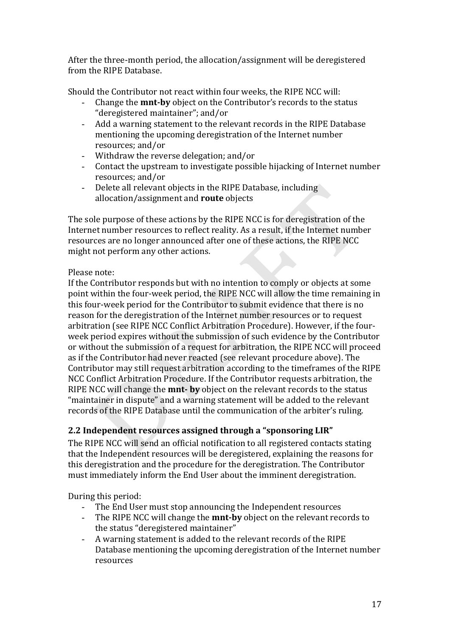After the three-month period, the allocation/assignment will be deregistered from the RIPE Database.

Should the Contributor not react within four weeks, the RIPE NCC will:

- Change the **mnt-by** object on the Contributor's records to the status "deregistered maintainer"; and/or
- Add a warning statement to the relevant records in the RIPE Database  $\omega_{\rm{max}}$ mentioning the upcoming deregistration of the Internet number resources; and/or
- Withdraw the reverse delegation; and/or  $\Delta \sim 10^{-10}$
- Contact the upstream to investigate possible hijacking of Internet number  $\mathbb{Z}^{(n)}$ resources; and/or
- $\omega_{\rm{eff}}$ Delete all relevant objects in the RIPE Database, including allocation/assignment and **route** objects

The sole purpose of these actions by the RIPE NCC is for deregistration of the Internet number resources to reflect reality. As a result, if the Internet number resources are no longer announced after one of these actions, the RIPE NCC might not perform any other actions.

# Please note:

If the Contributor responds but with no intention to comply or objects at some point within the four-week period, the RIPE NCC will allow the time remaining in this four-week period for the Contributor to submit evidence that there is no reason for the deregistration of the Internet number resources or to request arbitration (see RIPE NCC Conflict Arbitration Procedure). However, if the fourweek period expires without the submission of such evidence by the Contributor or without the submission of a request for arbitration, the RIPE NCC will proceed as if the Contributor had never reacted (see relevant procedure above). The Contributor may still request arbitration according to the timeframes of the RIPE NCC Conflict Arbitration Procedure. If the Contributor requests arbitration, the RIPE NCC will change the **mnt-** by object on the relevant records to the status "maintainer in dispute" and a warning statement will be added to the relevant records of the RIPE Database until the communication of the arbiter's ruling.

# 2.2 Independent resources assigned through a "sponsoring LIR"

The RIPE NCC will send an official notification to all registered contacts stating that the Independent resources will be deregistered, explaining the reasons for this deregistration and the procedure for the deregistration. The Contributor must immediately inform the End User about the imminent deregistration.

During this period:

- The End User must stop announcing the Independent resources
- The RIPE NCC will change the **mnt-by** object on the relevant records to the status "deregistered maintainer"
- A warning statement is added to the relevant records of the RIPE  $\mathcal{L}^{\text{max}}$ Database mentioning the upcoming deregistration of the Internet number resources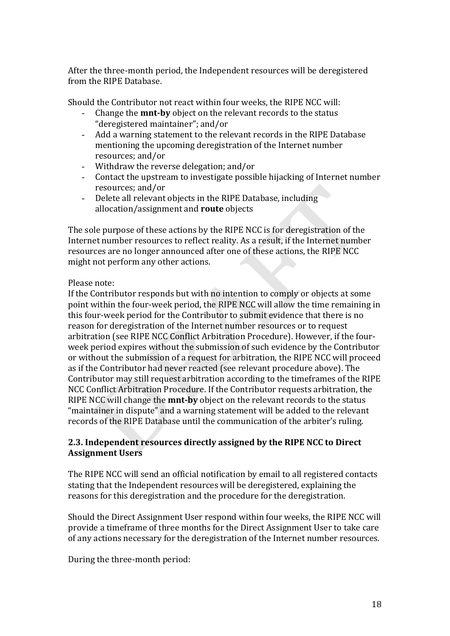After the three-month period, the Independent resources will be deregistered from the RIPE Database.

Should the Contributor not react within four weeks, the RIPE NCC will:

- Change the **mnt-by** object on the relevant records to the status "deregistered maintainer"; and/or
- Add a warning statement to the relevant records in the RIPE Database mentioning the upcoming deregistration of the Internet number resources; and/or
- Withdraw the reverse delegation; and/or
- Contact the upstream to investigate possible hijacking of Internet number resources; and/or
- Delete all relevant objects in the RIPE Database, including allocation/assignment and **route** objects

The sole purpose of these actions by the RIPE NCC is for deregistration of the Internet number resources to reflect reality. As a result, if the Internet number resources are no longer announced after one of these actions, the RIPE NCC might not perform any other actions.

Please note:

If the Contributor responds but with no intention to comply or objects at some point within the four-week period, the RIPE NCC will allow the time remaining in this four-week period for the Contributor to submit evidence that there is no reason for deregistration of the Internet number resources or to request arbitration (see RIPE NCC Conflict Arbitration Procedure). However, if the fourweek period expires without the submission of such evidence by the Contributor or without the submission of a request for arbitration, the RIPE NCC will proceed as if the Contributor had never reacted (see relevant procedure above). The Contributor may still request arbitration according to the timeframes of the RIPE NCC Conflict Arbitration Procedure. If the Contributor requests arbitration, the RIPE NCC will change the **mnt-by** object on the relevant records to the status "maintainer in dispute" and a warning statement will be added to the relevant records of the RIPE Database until the communication of the arbiter's ruling.

# **2.3. Independent resources directly assigned by the RIPE NCC to Direct Assignment%Users**

The RIPE NCC will send an official notification by email to all registered contacts stating that the Independent resources will be deregistered, explaining the reasons for this deregistration and the procedure for the deregistration.

Should the Direct Assignment User respond within four weeks, the RIPE NCC will provide a timeframe of three months for the Direct Assignment User to take care of any actions necessary for the deregistration of the Internet number resources.

During the three-month period: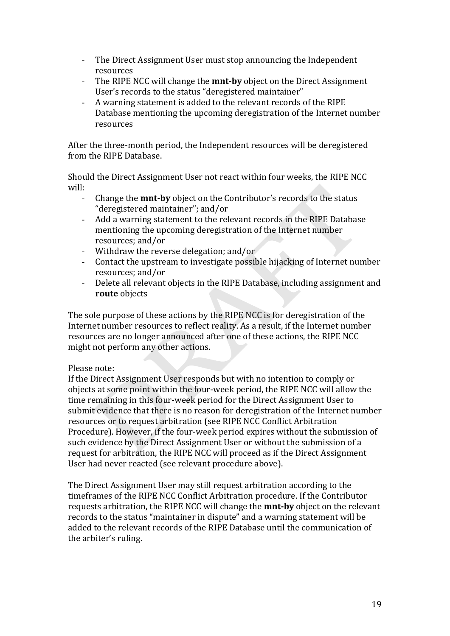- The Direct Assignment User must stop announcing the Independent  $\Delta \sim 10^4$ resources
- $\omega_{\rm{eff}}$ The RIPE NCC will change the **mnt-by** object on the Direct Assignment User's records to the status "deregistered maintainer"
- $\omega_{\rm c}$ A warning statement is added to the relevant records of the RIPE Database mentioning the upcoming deregistration of the Internet number resources

After the three-month period, the Independent resources will be deregistered from the RIPE Database.

Should the Direct Assignment User not react within four weeks, the RIPE NCC will:

- Change the **mnt-by** object on the Contributor's records to the status  $\Delta \sim 10^{-10}$ "deregistered maintainer"; and/or
- Add a warning statement to the relevant records in the RIPE Database  $\omega_{\rm{max}}$ mentioning the upcoming deregistration of the Internet number resources; and/or
- Withdraw the reverse delegation; and/or
- Contact the upstream to investigate possible hijacking of Internet number  $\mathbb{Z}^{n+1}$ resources: and/or
- Delete all relevant objects in the RIPE Database, including assignment and route objects

The sole purpose of these actions by the RIPE NCC is for deregistration of the Internet number resources to reflect reality. As a result, if the Internet number resources are no longer announced after one of these actions, the RIPE NCC might not perform any other actions.

### Please note:

If the Direct Assignment User responds but with no intention to comply or objects at some point within the four-week period, the RIPE NCC will allow the time remaining in this four-week period for the Direct Assignment User to submit evidence that there is no reason for deregistration of the Internet number resources or to request arbitration (see RIPE NCC Conflict Arbitration Procedure). However, if the four-week period expires without the submission of such evidence by the Direct Assignment User or without the submission of a request for arbitration, the RIPE NCC will proceed as if the Direct Assignment User had never reacted (see relevant procedure above).

The Direct Assignment User may still request arbitration according to the timeframes of the RIPE NCC Conflict Arbitration procedure. If the Contributor requests arbitration, the RIPE NCC will change the **mnt-by** object on the relevant records to the status "maintainer in dispute" and a warning statement will be added to the relevant records of the RIPE Database until the communication of the arbiter's ruling.